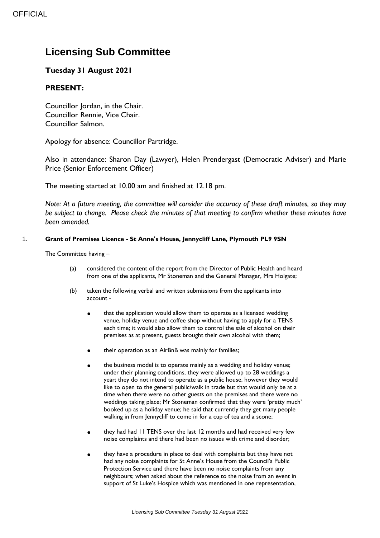## **Licensing Sub Committee**

## **Tuesday 31 August 2021**

## **PRESENT:**

Councillor Jordan, in the Chair. Councillor Rennie, Vice Chair. Councillor Salmon.

Apology for absence: Councillor Partridge.

Also in attendance: Sharon Day (Lawyer), Helen Prendergast (Democratic Adviser) and Marie Price (Senior Enforcement Officer)

The meeting started at 10.00 am and finished at 12.18 pm.

*Note: At a future meeting, the committee will consider the accuracy of these draft minutes, so they may be subject to change. Please check the minutes of that meeting to confirm whether these minutes have been amended.*

## 1. **Grant of Premises Licence - St Anne's House, Jennycliff Lane, Plymouth PL9 9SN**

The Committee having –

- (a) considered the content of the report from the Director of Public Health and heard from one of the applicants, Mr Stoneman and the General Manager, Mrs Holgate;
- (b) taken the following verbal and written submissions from the applicants into account -
	- that the application would allow them to operate as a licensed wedding venue, holiday venue and coffee shop without having to apply for a TENS each time; it would also allow them to control the sale of alcohol on their premises as at present, guests brought their own alcohol with them;
	- their operation as an AirBnB was mainly for families;
	- the business model is to operate mainly as a wedding and holiday venue; under their planning conditions, they were allowed up to 28 weddings a year; they do not intend to operate as a public house, however they would like to open to the general public/walk in trade but that would only be at a time when there were no other guests on the premises and there were no weddings taking place; Mr Stoneman confirmed that they were 'pretty much' booked up as a holiday venue; he said that currently they get many people walking in from Jennycliff to come in for a cup of tea and a scone;
	- they had had 11 TENS over the last 12 months and had received very few noise complaints and there had been no issues with crime and disorder;
	- they have a procedure in place to deal with complaints but they have not had any noise complaints for St Anne's House from the Council's Public Protection Service and there have been no noise complaints from any neighbours; when asked about the reference to the noise from an event in support of St Luke's Hospice which was mentioned in one representation,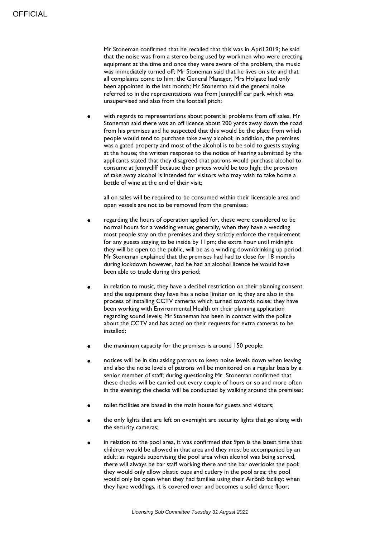Mr Stoneman confirmed that he recalled that this was in April 2019; he said that the noise was from a stereo being used by workmen who were erecting equipment at the time and once they were aware of the problem, the music was immediately turned off; Mr Stoneman said that he lives on site and that all complaints come to him; the General Manager, Mrs Holgate had only been appointed in the last month; Mr Stoneman said the general noise referred to in the representations was from Jennycliff car park which was unsupervised and also from the football pitch;

with regards to representations about potential problems from off sales, Mr Stoneman said there was an off licence about 200 yards away down the road from his premises and he suspected that this would be the place from which people would tend to purchase take away alcohol; in addition, the premises was a gated property and most of the alcohol is to be sold to guests staying at the house; the written response to the notice of hearing submitted by the applicants stated that they disagreed that patrons would purchase alcohol to consume at Jennycliff because their prices would be too high; the provision of take away alcohol is intended for visitors who may wish to take home a bottle of wine at the end of their visit;

all on sales will be required to be consumed within their licensable area and open vessels are not to be removed from the premises;

- regarding the hours of operation applied for, these were considered to be normal hours for a wedding venue; generally, when they have a wedding most people stay on the premises and they strictly enforce the requirement for any guests staying to be inside by 11pm; the extra hour until midnight they will be open to the public, will be as a winding down/drinking up period; Mr Stoneman explained that the premises had had to close for 18 months during lockdown however, had he had an alcohol licence he would have been able to trade during this period;
- in relation to music, they have a decibel restriction on their planning consent and the equipment they have has a noise limiter on it; they are also in the process of installing CCTV cameras which turned towards noise; they have been working with Environmental Health on their planning application regarding sound levels; Mr Stoneman has been in contact with the police about the CCTV and has acted on their requests for extra cameras to be installed;
- the maximum capacity for the premises is around 150 people;
- notices will be in situ asking patrons to keep noise levels down when leaving and also the noise levels of patrons will be monitored on a regular basis by a senior member of staff; during questioning Mr Stoneman confirmed that these checks will be carried out every couple of hours or so and more often in the evening; the checks will be conducted by walking around the premises;
- toilet facilities are based in the main house for guests and visitors;
- the only lights that are left on overnight are security lights that go along with the security cameras;
- in relation to the pool area, it was confirmed that 9pm is the latest time that children would be allowed in that area and they must be accompanied by an adult; as regards supervising the pool area when alcohol was being served, there will always be bar staff working there and the bar overlooks the pool; they would only allow plastic cups and cutlery in the pool area; the pool would only be open when they had families using their AirBnB facility; when they have weddings, it is covered over and becomes a solid dance floor;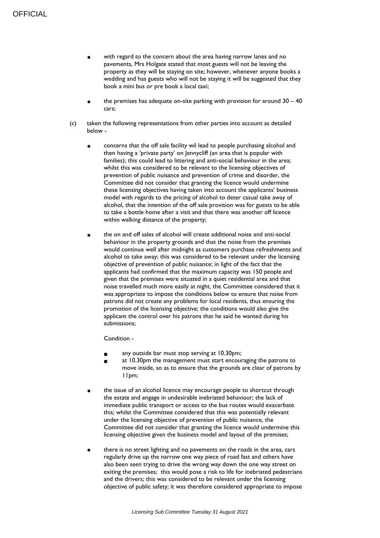- with regard to the concern about the area having narrow lanes and no pavements, Mrs Holgate stated that most guests will not be leaving the property as they will be staying on site; however, whenever anyone books a wedding and has guests who will not be staying it will be suggested that they book a mini bus or pre book a local taxi;
- the premises has adequate on-site parking with provision for around  $30 40$ cars;
- (c) taken the following representations from other parties into account as detailed below
	- concerns that the off sale facility wil lead to people purchasing alcohol and then having a 'private party' on Jennycliff (an area that is popular with families); this could lead to littering and anti-social behaviour in the area; whilst this was considered to be relevant to the licensing objectives of prevention of public nuisance and prevention of crime and disorder, the Committee did not consider that granting the licence would undermine these licensing objectives having taken into account the applicants' business model with regards to the pricing of alcohol to deter casual take away of alcohol, that the intention of the off sale provision was for guests to be able to take a bottle home after a visit and that there was another off licence within walking distance of the property;
	- the on and off sales of alcohol will create additional noise and anti-social behaviour in the property grounds and that the noise from the premises would continue well after midnight as customers purchase refreshments and alcohol to take away; this was considered to be relevant under the licensing objective of prevention of public nuisance; in light of the fact that the applicants had confirmed that the maximum capacity was 150 people and given that the premises were situated in a quiet residential area and that noise travelled much more easily at night, the Committee considered that it was appropriate to impose the conditions below to ensure that noise from patrons did not create any problems for local residents, thus ensuring the promotion of the licensing objective; the conditions would also give the applicant the control over his patrons that he said he wanted during his submissions;

Condition -

- any outside bar must stop serving at 10.30pm;
- at 10.30pm the management must start encouraging the patrons to move inside, so as to ensure that the grounds are clear of patrons by 11pm;
- the issue of an alcohol licence may encourage people to shortcut through the estate and engage in undesirable inebriated behaviour; the lack of immediate public transport or access to the bus routes would exacerbate this; whilst the Committee considered that this was potentially relevant under the licensing objective of prevention of public nuisance, the Committee did not consider that granting the licence would undermine this licensing objective given the business model and layout of the premises;
- there is no street lighting and no pavements on the roads in the area, cars regularly drive up the narrow one way piece of road fast and others have also been seen trying to drive the wrong way down the one way street on exiting the premises; this would pose a risk to life for inebriated pedestrians and the drivers; this was considered to be relevant under the licensing objective of public safety; it was therefore considered appropriate to impose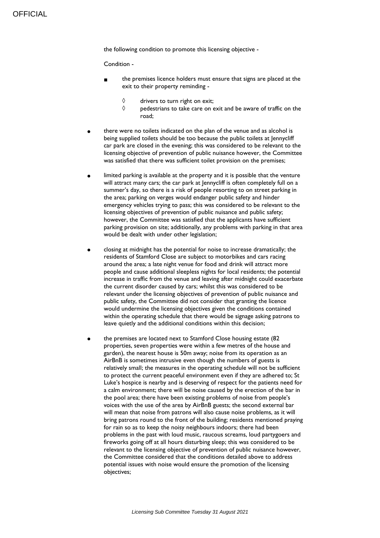the following condition to promote this licensing objective -

Condition -

- the premises licence holders must ensure that signs are placed at the exit to their property reminding -
	- $\Diamond$  drivers to turn right on exit;<br> $\Diamond$  pedestrians to take care on e
	- pedestrians to take care on exit and be aware of traffic on the road;
- there were no toilets indicated on the plan of the venue and as alcohol is being supplied toilets should be too because the public toilets at Jennycliff car park are closed in the evening; this was considered to be relevant to the licensing objective of prevention of public nuisance however, the Committee was satisfied that there was sufficient toilet provision on the premises;
- limited parking is available at the property and it is possible that the venture will attract many cars; the car park at Jennycliff is often completely full on a summer's day, so there is a risk of people resorting to on street parking in the area; parking on verges would endanger public safety and hinder emergency vehicles trying to pass; this was considered to be relevant to the licensing objectives of prevention of public nuisance and public safety; however, the Committee was satisfied that the applicants have sufficient parking provision on site; additionally, any problems with parking in that area would be dealt with under other legislation;
- closing at midnight has the potential for noise to increase dramatically; the residents of Stamford Close are subject to motorbikes and cars racing around the area; a late night venue for food and drink will attract more people and cause additional sleepless nights for local residents; the potential increase in traffic from the venue and leaving after midnight could exacerbate the current disorder caused by cars; whilst this was considered to be relevant under the licensing objectives of prevention of public nuisance and public safety, the Committee did not consider that granting the licence would undermine the licensing objectives given the conditions contained within the operating schedule that there would be signage asking patrons to leave quietly and the additional conditions within this decision;
- the premises are located next to Stamford Close housing estate (82 properties, seven properties were within a few metres of the house and garden), the nearest house is 50m away; noise from its operation as an AirBnB is sometimes intrusive even though the numbers of guests is relatively small; the measures in the operating schedule will not be sufficient to protect the current peaceful environment even if they are adhered to; St Luke's hospice is nearby and is deserving of respect for the patients need for a calm environment; there will be noise caused by the erection of the bar in the pool area; there have been existing problems of noise from people's voices with the use of the area by AirBnB guests; the second external bar will mean that noise from patrons will also cause noise problems, as it will bring patrons round to the front of the building; residents mentioned praying for rain so as to keep the noisy neighbours indoors; there had been problems in the past with loud music, raucous screams, loud partygoers and fireworks going off at all hours disturbing sleep; this was considered to be relevant to the licensing objective of prevention of public nuisance however, the Committee considered that the conditions detailed above to address potential issues with noise would ensure the promotion of the licensing objectives;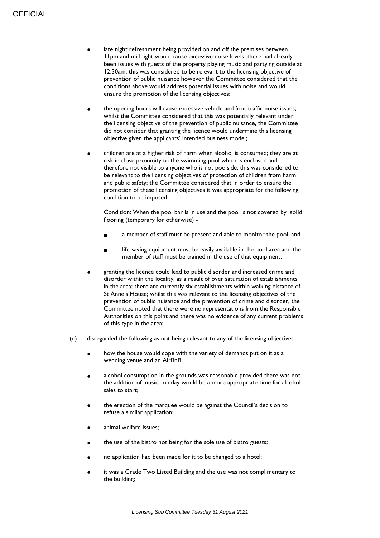- late night refreshment being provided on and off the premises between 11pm and midnight would cause excessive noise levels; there had already been issues with guests of the property playing music and partying outside at 12.30am; this was considered to be relevant to the licensing objective of prevention of public nuisance however the Committee considered that the conditions above would address potential issues with noise and would ensure the promotion of the licensing objectives;
- the opening hours will cause excessive vehicle and foot traffic noise issues; whilst the Committee considered that this was potentially relevant under the licensing objective of the prevention of public nuisance, the Committee did not consider that granting the licence would undermine this licensing objective given the applicants' intended business model;
- children are at a higher risk of harm when alcohol is consumed; they are at risk in close proximity to the swimming pool which is enclosed and therefore not visible to anyone who is not poolside; this was considered to be relevant to the licensing objectives of protection of children from harm and public safety; the Committee considered that in order to ensure the promotion of these licensing objectives it was appropriate for the following condition to be imposed -

Condition: When the pool bar is in use and the pool is not covered by solid flooring (temporary for otherwise) -

- a member of staff must be present and able to monitor the pool, and
- life-saving equipment must be easily available in the pool area and the member of staff must be trained in the use of that equipment:
- granting the licence could lead to public disorder and increased crime and disorder within the locality, as a result of over saturation of establishments in the area; there are currently six establishments within walking distance of St Anne's House; whilst this was relevant to the licensing objectives of the prevention of public nuisance and the prevention of crime and disorder, the Committee noted that there were no representations from the Responsible Authorities on this point and there was no evidence of any current problems of this type in the area;
- (d) disregarded the following as not being relevant to any of the licensing objectives
	- how the house would cope with the variety of demands put on it as a wedding venue and an AirBnB;
	- alcohol consumption in the grounds was reasonable provided there was not the addition of music; midday would be a more appropriate time for alcohol sales to start;
	- the erection of the marquee would be against the Council's decision to refuse a similar application;
	- animal welfare issues:
	- the use of the bistro not being for the sole use of bistro guests;
	- no application had been made for it to be changed to a hotel;
	- it was a Grade Two Listed Building and the use was not complimentary to the building;